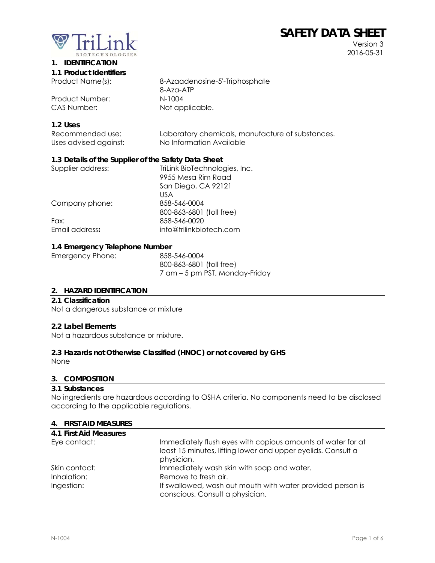# **SAFETY DATA SHEET**



Version 3 2016-05-31

#### **1. IDENTIFICATION**

|  | 1.1 Product Identifiers |
|--|-------------------------|
|  |                         |

Product Number:

CAS Number: Not applicable.

# Product Name(s): 8-Azaadenosine-5'-Triphosphate 8-Aza-ATP<br>N-1004

#### **1.2 Uses**

| Recommended use:      | Laboratory chemicals, manufacture of substances. |
|-----------------------|--------------------------------------------------|
| Uses advised against: | No Information Available                         |

#### **1.3 Details of the Supplier of the Safety Data Sheet**

| Supplier address: | TriLink BioTechnologies, Inc. |
|-------------------|-------------------------------|
|                   | 9955 Mesa Rim Road            |
|                   | San Diego, CA 92121           |
|                   | US A                          |
| Company phone:    | 858-546-0004                  |
|                   | 800-863-6801 (toll free)      |
| Fax:              | 858-546-0020                  |
| Email address:    | info@trilinkbiotech.com       |
|                   |                               |

#### **1.4 Emergency Telephone Number**

| 858-546-0004                   |
|--------------------------------|
| 800-863-6801 (toll free)       |
| 7 am – 5 pm PST, Monday-Friday |
|                                |

#### **2. HAZARD IDENTIFICATION**

#### **2.1 Classification**

Not a dangerous substance or mixture

#### **2.2 Label Elements**

Not a hazardous substance or mixture.

#### **2.3 Hazards not Otherwise Classified (HNOC) or not covered by GHS**

None

#### **3. COMPOSITION**

#### **3.1 Substances**

No ingredients are hazardous according to OSHA criteria. No components need to be disclosed according to the applicable regulations.

#### **4. FIRST AID MEASURES**

| 4.1 First Aid Measures |                                                                                                                                           |
|------------------------|-------------------------------------------------------------------------------------------------------------------------------------------|
| Eye contact:           | Immediately flush eyes with copious amounts of water for at<br>least 15 minutes, lifting lower and upper eyelids. Consult a<br>physician. |
| Skin contact:          | Immediately wash skin with soap and water.                                                                                                |
| Inhalation:            | Remove to fresh air.                                                                                                                      |
| Ingestion:             | If swallowed, wash out mouth with water provided person is                                                                                |
|                        | conscious. Consult a physician.                                                                                                           |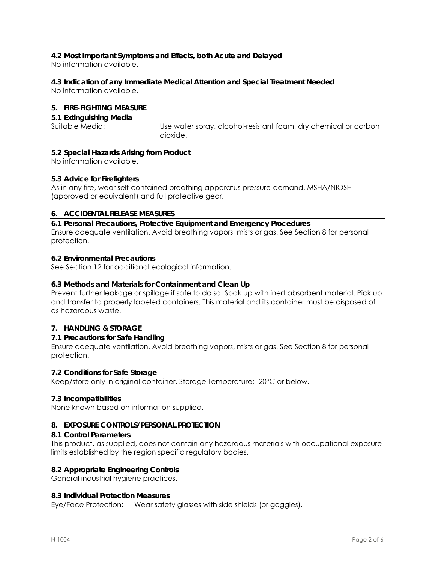## **4.2 Most Important Symptoms and Effects, both Acute and Delayed**

No information available.

## **4.3 Indication of any Immediate Medical Attention and Special Treatment Needed**

No information available.

#### **5. FIRE-FIGHTING MEASURE**

| 5.1 Extinguishing Media |                                                                 |
|-------------------------|-----------------------------------------------------------------|
| Suitable Media:         | Use water spray, alcohol-resistant foam, dry chemical or carbon |
|                         | dioxide.                                                        |

#### **5.2 Special Hazards Arising from Product**

No information available.

#### **5.3 Advice for Firefighters**

As in any fire, wear self-contained breathing apparatus pressure-demand, MSHA/NIOSH (approved or equivalent) and full protective gear.

#### **6. ACCIDENTAL RELEASE MEASURES**

**6.1 Personal Precautions, Protective Equipment and Emergency Procedures**  Ensure adequate ventilation. Avoid breathing vapors, mists or gas. See Section 8 for personal protection.

#### **6.2 Environmental Precautions**

See Section 12 for additional ecological information.

#### **6.3 Methods and Materials for Containment and Clean Up**

Prevent further leakage or spillage if safe to do so. Soak up with inert absorbent material. Pick up and transfer to properly labeled containers. This material and its container must be disposed of as hazardous waste.

#### **7. HANDLING & STORAGE**

#### **7.1 Precautions for Safe Handling**

Ensure adequate ventilation. Avoid breathing vapors, mists or gas. See Section 8 for personal protection.

#### **7.2 Conditions for Safe Storage**

Keep/store only in original container. Storage Temperature: -20°C or below.

#### **7.3 Incompatibilities**

None known based on information supplied.

#### **8. EXPOSURE CONTROLS/PERSONAL PROTECTION**

#### **8.1 Control Parameters**

This product, as supplied, does not contain any hazardous materials with occupational exposure limits established by the region specific regulatory bodies.

#### **8.2 Appropriate Engineering Controls**

General industrial hygiene practices.

#### **8.3 Individual Protection Measures**

Eye/Face Protection: Wear safety glasses with side shields (or goggles).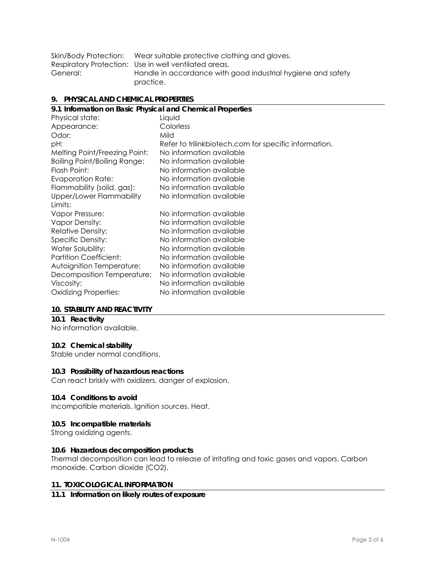|          | Skin/Body Protection: Wear suitable protective clothing and gloves. |
|----------|---------------------------------------------------------------------|
|          | Respiratory Protection: Use in well ventilated areas.               |
| General: | Handle in accordance with good industrial hygiene and safety        |
|          | practice.                                                           |

#### **9. PHYSICAL AND CHEMICAL PROPERTIES**

| 9.1 Information on Basic Physical and Chemical Properties |                                                       |  |  |
|-----------------------------------------------------------|-------------------------------------------------------|--|--|
| Physical state:                                           | Liquid                                                |  |  |
| Appearance:                                               | Colorless                                             |  |  |
| Odor:                                                     | Mild                                                  |  |  |
| pH:                                                       | Refer to trilinkbiotech.com for specific information. |  |  |
| Melting Point/Freezing Point:                             | No information available                              |  |  |
| <b>Boiling Point/Boiling Range:</b>                       | No information available                              |  |  |
| Flash Point:                                              | No information available                              |  |  |
| <b>Evaporation Rate:</b>                                  | No information available                              |  |  |
| Flammability (solid, gas):                                | No information available                              |  |  |
| Upper/Lower Flammability                                  | No information available                              |  |  |
| Limits:                                                   |                                                       |  |  |
| Vapor Pressure:                                           | No information available                              |  |  |
| <b>Vapor Density:</b>                                     | No information available                              |  |  |
| <b>Relative Density:</b>                                  | No information available                              |  |  |
| Specific Density:                                         | No information available                              |  |  |
| Water Solubility:                                         | No information available                              |  |  |
| <b>Partition Coefficient:</b>                             | No information available                              |  |  |
| Autoignition Temperature:                                 | No information available                              |  |  |
| Decomposition Temperature:                                | No information available                              |  |  |
| Viscosity:                                                | No information available                              |  |  |
| <b>Oxidizing Properties:</b>                              | No information available                              |  |  |
|                                                           |                                                       |  |  |

#### **10. STABILITY AND REACTIVITY**

#### **10.1 Reactivity**

No information available.

#### **10.2 Chemical stability**

Stable under normal conditions.

#### **10.3 Possibility of hazardous reactions**

Can react briskly with oxidizers, danger of explosion.

#### **10.4 Conditions to avoid**

Incompatible materials. Ignition sources. Heat.

#### **10.5 Incompatible materials**

Strong oxidizing agents.

#### **10.6 Hazardous decomposition products**

Thermal decomposition can lead to release of irritating and toxic gases and vapors. Carbon monoxide. Carbon dioxide (CO2).

#### **11. TOXICOLOGICAL INFORMATION**

#### **11.1 Information on likely routes of exposure**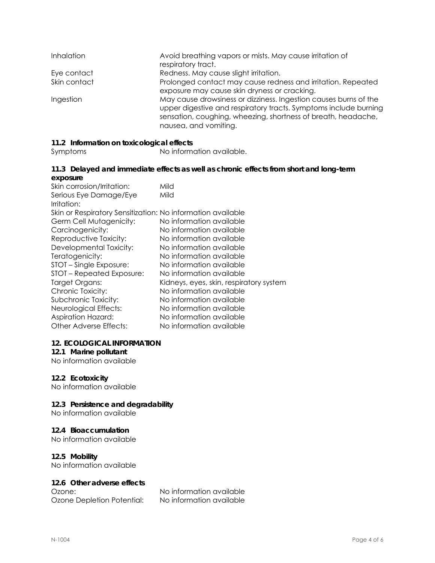| <b>Inhalation</b> | Avoid breathing vapors or mists. May cause irritation of<br>respiratory tract.                                                                                                                                                 |
|-------------------|--------------------------------------------------------------------------------------------------------------------------------------------------------------------------------------------------------------------------------|
| Eye contact       | Redness. May cause slight irritation.                                                                                                                                                                                          |
| Skin contact      | Prolonged contact may cause redness and irritation. Repeated<br>exposure may cause skin dryness or cracking.                                                                                                                   |
| Ingestion         | May cause drowsiness or dizziness. Ingestion causes burns of the<br>upper digestive and respiratory tracts. Symptoms include burning<br>sensation, coughing, wheezing, shortness of breath, headache,<br>nausea, and vomiting. |

#### **11.2 Information on toxicological effects**

Symptoms No information available.

#### **11.3 Delayed and immediate effects as well as chronic effects from short and long-term exposure**

| Mild<br>Skin or Respiratory Sensitization: No information available<br>No information available<br>No information available<br>No information available<br>No information available<br>No information available<br>No information available<br>No information available<br>Kidneys, eyes, skin, respiratory system<br>No information available<br>No information available<br>No information available<br>No information available | Skin corrosion/Irritation: | Mild                     |
|------------------------------------------------------------------------------------------------------------------------------------------------------------------------------------------------------------------------------------------------------------------------------------------------------------------------------------------------------------------------------------------------------------------------------------|----------------------------|--------------------------|
|                                                                                                                                                                                                                                                                                                                                                                                                                                    | Serious Eye Damage/Eye     |                          |
|                                                                                                                                                                                                                                                                                                                                                                                                                                    | Irritation:                |                          |
|                                                                                                                                                                                                                                                                                                                                                                                                                                    |                            |                          |
|                                                                                                                                                                                                                                                                                                                                                                                                                                    | Germ Cell Mutagenicity:    |                          |
|                                                                                                                                                                                                                                                                                                                                                                                                                                    | Carcinogenicity:           |                          |
|                                                                                                                                                                                                                                                                                                                                                                                                                                    | Reproductive Toxicity:     |                          |
|                                                                                                                                                                                                                                                                                                                                                                                                                                    | Developmental Toxicity:    |                          |
|                                                                                                                                                                                                                                                                                                                                                                                                                                    | Teratogenicity:            |                          |
|                                                                                                                                                                                                                                                                                                                                                                                                                                    | STOT – Single Exposure:    |                          |
|                                                                                                                                                                                                                                                                                                                                                                                                                                    | STOT - Repeated Exposure:  |                          |
|                                                                                                                                                                                                                                                                                                                                                                                                                                    | Target Organs:             |                          |
|                                                                                                                                                                                                                                                                                                                                                                                                                                    | Chronic Toxicity:          |                          |
|                                                                                                                                                                                                                                                                                                                                                                                                                                    | Subchronic Toxicity:       |                          |
|                                                                                                                                                                                                                                                                                                                                                                                                                                    | Neurological Effects:      |                          |
|                                                                                                                                                                                                                                                                                                                                                                                                                                    | <b>Aspiration Hazard:</b>  |                          |
|                                                                                                                                                                                                                                                                                                                                                                                                                                    | Other Adverse Effects:     | No information available |

#### **12. ECOLOGICAL INFORMATION**

#### **12.1 Marine pollutant**

No information available

#### **12.2 Ecotoxicity**

No information available

#### **12.3 Persistence and degradability**

No information available

#### **12.4 Bioaccumulation**

No information available

#### **12.5 Mobility**

No information available

#### **12.6 Other adverse effects**

Ozone Depletion Potential: No information available

Ozone: No information available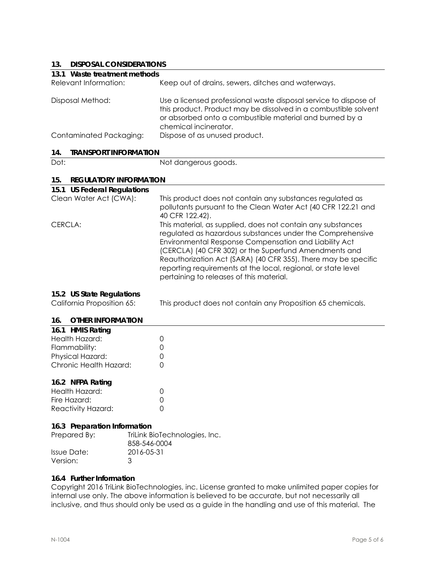## **13. DISPOSAL CONSIDERATIONS**

| 13.<br>DISPOSAL CONSIDERATIONS       |                                                                                                                                                                                                                                                                                                                                                                                                                           |
|--------------------------------------|---------------------------------------------------------------------------------------------------------------------------------------------------------------------------------------------------------------------------------------------------------------------------------------------------------------------------------------------------------------------------------------------------------------------------|
| 13.1 Waste treatment methods         |                                                                                                                                                                                                                                                                                                                                                                                                                           |
| Relevant Information:                | Keep out of drains, sewers, ditches and waterways.                                                                                                                                                                                                                                                                                                                                                                        |
| Disposal Method:                     | Use a licensed professional waste disposal service to dispose of<br>this product. Product may be dissolved in a combustible solvent<br>or absorbed onto a combustible material and burned by a<br>chemical incinerator.                                                                                                                                                                                                   |
| Contaminated Packaging:              | Dispose of as unused product.                                                                                                                                                                                                                                                                                                                                                                                             |
| <b>TRANSPORT INFORMATION</b><br>14.  |                                                                                                                                                                                                                                                                                                                                                                                                                           |
| Dot:                                 | Not dangerous goods.                                                                                                                                                                                                                                                                                                                                                                                                      |
| <b>REGULATORY INFORMATION</b><br>15. |                                                                                                                                                                                                                                                                                                                                                                                                                           |
| 15.1 US Federal Regulations          |                                                                                                                                                                                                                                                                                                                                                                                                                           |
| Clean Water Act (CWA):               | This product does not contain any substances regulated as<br>pollutants pursuant to the Clean Water Act (40 CFR 122.21 and<br>40 CFR 122.42).                                                                                                                                                                                                                                                                             |
| CERCLA:                              | This material, as supplied, does not contain any substances<br>regulated as hazardous substances under the Comprehensive<br>Environmental Response Compensation and Liability Act<br>(CERCLA) (40 CFR 302) or the Superfund Amendments and<br>Reauthorization Act (SARA) (40 CFR 355). There may be specific<br>reporting requirements at the local, regional, or state level<br>pertaining to releases of this material. |
| 15.2 US State Regulations            |                                                                                                                                                                                                                                                                                                                                                                                                                           |
| California Proposition 65:           | This product does not contain any Proposition 65 chemicals.                                                                                                                                                                                                                                                                                                                                                               |
| 16.<br><b>OTHER INFORMATION</b>      |                                                                                                                                                                                                                                                                                                                                                                                                                           |
| 16.1 HMIS Rating                     |                                                                                                                                                                                                                                                                                                                                                                                                                           |
| والمستمر سيمال الملليات والرازي      | $\sim$                                                                                                                                                                                                                                                                                                                                                                                                                    |

| Health Hazard:         |        |
|------------------------|--------|
| Flammability:          | Ω      |
| Physical Hazard:       | $\cap$ |
| Chronic Health Hazard: | $\cap$ |
|                        |        |

#### **16.2 NFPA Rating**

| Health Hazard:     |  |
|--------------------|--|
| Fire Hazard:       |  |
| Reactivity Hazard: |  |

#### **16.3 Preparation Information**

| Prepared By: | TriLink BioTechnologies, Inc.<br>858-546-0004 |
|--------------|-----------------------------------------------|
| Issue Date:  | 2016-05-31                                    |
| Version:     | ંવ                                            |

#### **16.4 Further Information**

Copyright 2016 TriLink BioTechnologies, inc. License granted to make unlimited paper copies for internal use only. The above information is believed to be accurate, but not necessarily all inclusive, and thus should only be used as a guide in the handling and use of this material. The